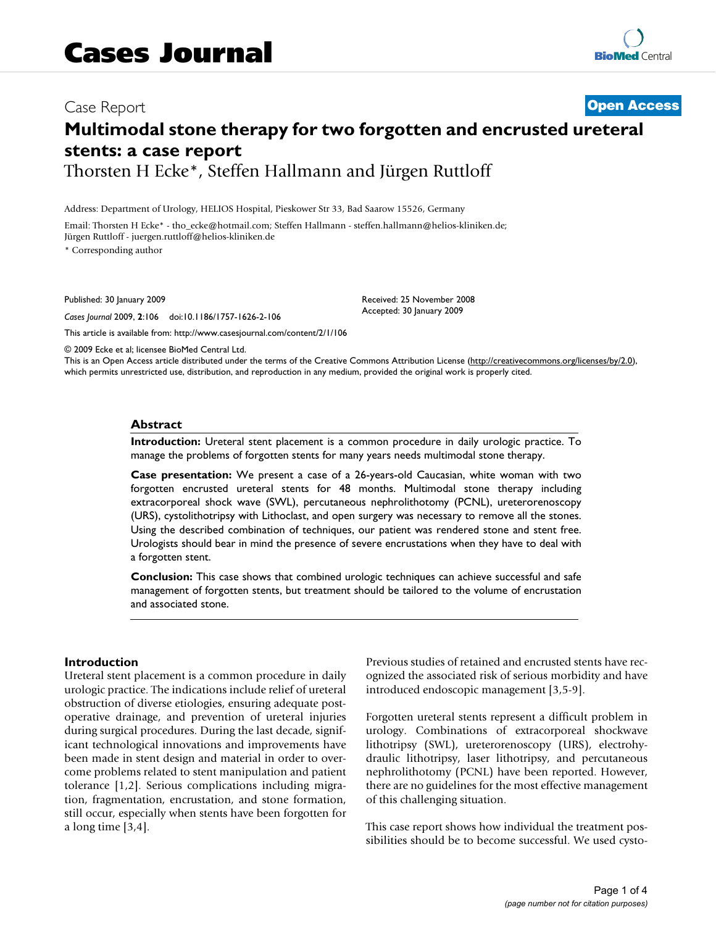# Case Report **[Open Access](http://www.biomedcentral.com/info/about/charter/) Multimodal stone therapy for two forgotten and encrusted ureteral stents: a case report** Thorsten H Ecke\*, Steffen Hallmann and Jürgen Ruttloff

Address: Department of Urology, HELIOS Hospital, Pieskower Str 33, Bad Saarow 15526, Germany

Email: Thorsten H Ecke\* - tho\_ecke@hotmail.com; Steffen Hallmann - steffen.hallmann@helios-kliniken.de; Jürgen Ruttloff - juergen.ruttloff@helios-kliniken.de

\* Corresponding author

Published: 30 January 2009

*Cases Journal* 2009, **2**:106 doi:10.1186/1757-1626-2-106

[This article is available from: http://www.casesjournal.com/content/2/1/106](http://www.casesjournal.com/content/2/1/106)

Received: 25 November 2008 Accepted: 30 January 2009

© 2009 Ecke et al; licensee BioMed Central Ltd.

This is an Open Access article distributed under the terms of the Creative Commons Attribution License [\(http://creativecommons.org/licenses/by/2.0\)](http://creativecommons.org/licenses/by/2.0), which permits unrestricted use, distribution, and reproduction in any medium, provided the original work is properly cited.

#### **Abstract**

**Introduction:** Ureteral stent placement is a common procedure in daily urologic practice. To manage the problems of forgotten stents for many years needs multimodal stone therapy.

**Case presentation:** We present a case of a 26-years-old Caucasian, white woman with two forgotten encrusted ureteral stents for 48 months. Multimodal stone therapy including extracorporeal shock wave (SWL), percutaneous nephrolithotomy (PCNL), ureterorenoscopy (URS), cystolithotripsy with Lithoclast, and open surgery was necessary to remove all the stones. Using the described combination of techniques, our patient was rendered stone and stent free. Urologists should bear in mind the presence of severe encrustations when they have to deal with a forgotten stent.

**Conclusion:** This case shows that combined urologic techniques can achieve successful and safe management of forgotten stents, but treatment should be tailored to the volume of encrustation and associated stone.

#### **Introduction**

Ureteral stent placement is a common procedure in daily urologic practice. The indications include relief of ureteral obstruction of diverse etiologies, ensuring adequate postoperative drainage, and prevention of ureteral injuries during surgical procedures. During the last decade, significant technological innovations and improvements have been made in stent design and material in order to overcome problems related to stent manipulation and patient tolerance [1,2]. Serious complications including migration, fragmentation, encrustation, and stone formation, still occur, especially when stents have been forgotten for a long time [3,4].

Previous studies of retained and encrusted stents have recognized the associated risk of serious morbidity and have introduced endoscopic management [3,5-9].

Forgotten ureteral stents represent a difficult problem in urology. Combinations of extracorporeal shockwave lithotripsy (SWL), ureterorenoscopy (URS), electrohydraulic lithotripsy, laser lithotripsy, and percutaneous nephrolithotomy (PCNL) have been reported. However, there are no guidelines for the most effective management of this challenging situation.

This case report shows how individual the treatment possibilities should be to become successful. We used cysto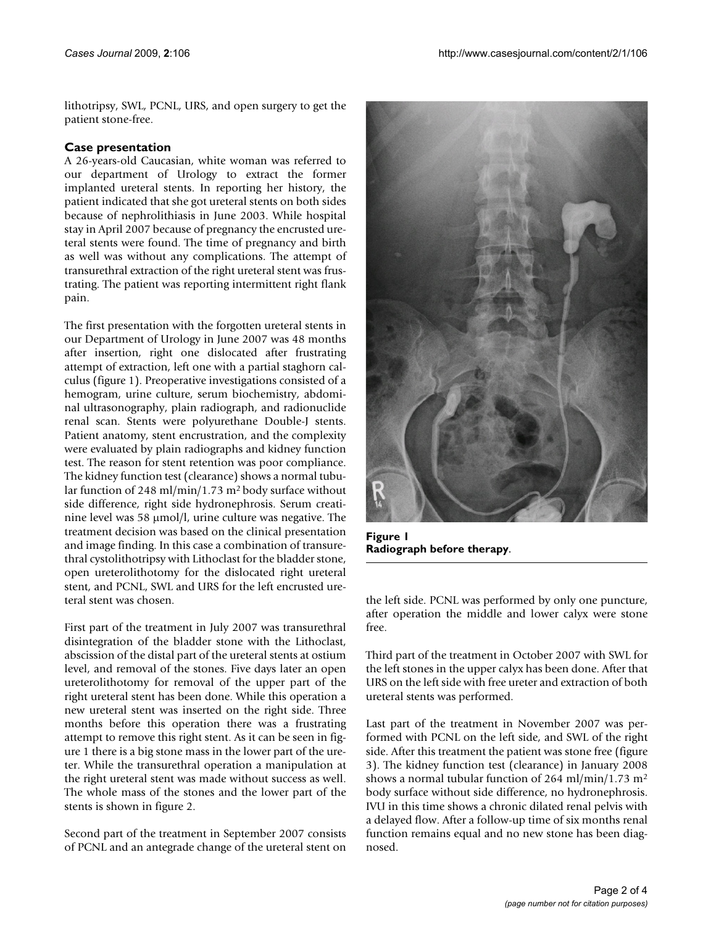lithotripsy, SWL, PCNL, URS, and open surgery to get the patient stone-free.

## **Case presentation**

A 26-years-old Caucasian, white woman was referred to our department of Urology to extract the former implanted ureteral stents. In reporting her history, the patient indicated that she got ureteral stents on both sides because of nephrolithiasis in June 2003. While hospital stay in April 2007 because of pregnancy the encrusted ureteral stents were found. The time of pregnancy and birth as well was without any complications. The attempt of transurethral extraction of the right ureteral stent was frustrating. The patient was reporting intermittent right flank pain.

The first presentation with the forgotten ureteral stents in our Department of Urology in June 2007 was 48 months after insertion, right one dislocated after frustrating attempt of extraction, left one with a partial staghorn calculus (figure 1). Preoperative investigations consisted of a hemogram, urine culture, serum biochemistry, abdominal ultrasonography, plain radiograph, and radionuclide renal scan. Stents were polyurethane Double-J stents. Patient anatomy, stent encrustration, and the complexity were evaluated by plain radiographs and kidney function test. The reason for stent retention was poor compliance. The kidney function test (clearance) shows a normal tubular function of 248 ml/min/1.73 m2 body surface without side difference, right side hydronephrosis. Serum creatinine level was 58 μmol/l, urine culture was negative. The treatment decision was based on the clinical presentation and image finding. In this case a combination of transurethral cystolithotripsy with Lithoclast for the bladder stone, open ureterolithotomy for the dislocated right ureteral stent, and PCNL, SWL and URS for the left encrusted ureteral stent was chosen.

First part of the treatment in July 2007 was transurethral disintegration of the bladder stone with the Lithoclast, abscission of the distal part of the ureteral stents at ostium level, and removal of the stones. Five days later an open ureterolithotomy for removal of the upper part of the right ureteral stent has been done. While this operation a new ureteral stent was inserted on the right side. Three months before this operation there was a frustrating attempt to remove this right stent. As it can be seen in figure 1 there is a big stone mass in the lower part of the ureter. While the transurethral operation a manipulation at the right ureteral stent was made without success as well. The whole mass of the stones and the lower part of the stents is shown in figure 2.

Second part of the treatment in September 2007 consists of PCNL and an antegrade change of the ureteral stent on



**Figure 1 Radiograph before therapy**.

the left side. PCNL was performed by only one puncture, after operation the middle and lower calyx were stone free.

Third part of the treatment in October 2007 with SWL for the left stones in the upper calyx has been done. After that URS on the left side with free ureter and extraction of both ureteral stents was performed.

Last part of the treatment in November 2007 was performed with PCNL on the left side, and SWL of the right side. After this treatment the patient was stone free (figure 3). The kidney function test (clearance) in January 2008 shows a normal tubular function of 264 ml/min/1.73 m<sup>2</sup> body surface without side difference, no hydronephrosis. IVU in this time shows a chronic dilated renal pelvis with a delayed flow. After a follow-up time of six months renal function remains equal and no new stone has been diagnosed.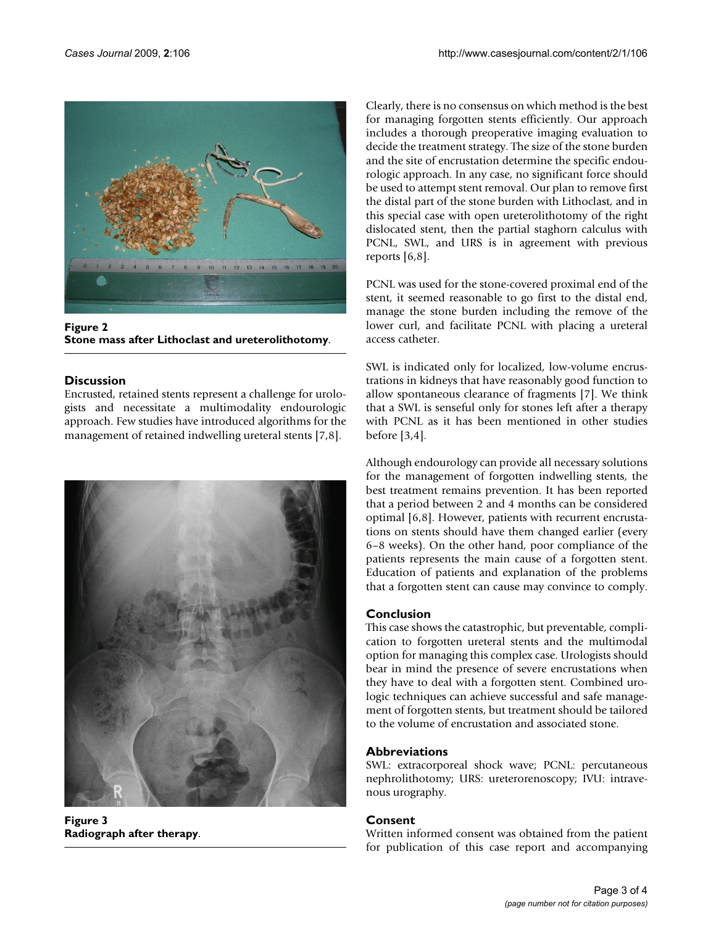

**Figure 2 Stone mass after Lithoclast and ureterolithotomy**.

# **Discussion**

Encrusted, retained stents represent a challenge for urologists and necessitate a multimodality endourologic approach. Few studies have introduced algorithms for the management of retained indwelling ureteral stents [7,8].



**Figure 3 Radiograph after therapy**.

Clearly, there is no consensus on which method is the best for managing forgotten stents efficiently. Our approach includes a thorough preoperative imaging evaluation to decide the treatment strategy. The size of the stone burden and the site of encrustation determine the specific endourologic approach. In any case, no significant force should be used to attempt stent removal. Our plan to remove first the distal part of the stone burden with Lithoclast, and in this special case with open ureterolithotomy of the right dislocated stent, then the partial staghorn calculus with PCNL, SWL, and URS is in agreement with previous reports [6,8].

PCNL was used for the stone-covered proximal end of the stent, it seemed reasonable to go first to the distal end, manage the stone burden including the remove of the lower curl, and facilitate PCNL with placing a ureteral access catheter.

SWL is indicated only for localized, low-volume encrustrations in kidneys that have reasonably good function to allow spontaneous clearance of fragments [7]. We think that a SWL is senseful only for stones left after a therapy with PCNL as it has been mentioned in other studies before [3,4].

Although endourology can provide all necessary solutions for the management of forgotten indwelling stents, the best treatment remains prevention. It has been reported that a period between 2 and 4 months can be considered optimal [6,8]. However, patients with recurrent encrustations on stents should have them changed earlier (every 6–8 weeks). On the other hand, poor compliance of the patients represents the main cause of a forgotten stent. Education of patients and explanation of the problems that a forgotten stent can cause may convince to comply.

# **Conclusion**

This case shows the catastrophic, but preventable, complication to forgotten ureteral stents and the multimodal option for managing this complex case. Urologists should bear in mind the presence of severe encrustations when they have to deal with a forgotten stent. Combined urologic techniques can achieve successful and safe management of forgotten stents, but treatment should be tailored to the volume of encrustation and associated stone.

# **Abbreviations**

SWL: extracorporeal shock wave; PCNL: percutaneous nephrolithotomy; URS: ureterorenoscopy; IVU: intravenous urography.

# **Consent**

Written informed consent was obtained from the patient for publication of this case report and accompanying